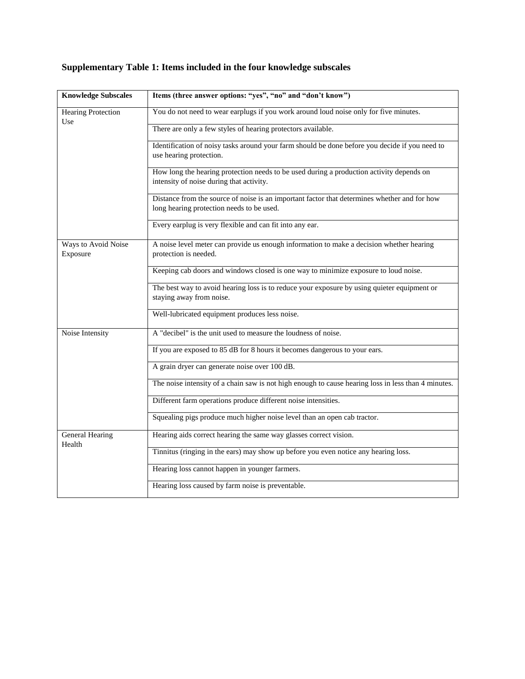## **Supplementary Table 1: Items included in the four knowledge subscales**

| <b>Knowledge Subscales</b>       | Items (three answer options: "yes", "no" and "don't know")                                                                                |
|----------------------------------|-------------------------------------------------------------------------------------------------------------------------------------------|
| <b>Hearing Protection</b><br>Use | You do not need to wear earplugs if you work around loud noise only for five minutes.                                                     |
|                                  | There are only a few styles of hearing protectors available.                                                                              |
|                                  | Identification of noisy tasks around your farm should be done before you decide if you need to<br>use hearing protection.                 |
|                                  | How long the hearing protection needs to be used during a production activity depends on<br>intensity of noise during that activity.      |
|                                  | Distance from the source of noise is an important factor that determines whether and for how<br>long hearing protection needs to be used. |
|                                  | Every earplug is very flexible and can fit into any ear.                                                                                  |
| Ways to Avoid Noise<br>Exposure  | A noise level meter can provide us enough information to make a decision whether hearing<br>protection is needed.                         |
|                                  | Keeping cab doors and windows closed is one way to minimize exposure to loud noise.                                                       |
|                                  | The best way to avoid hearing loss is to reduce your exposure by using quieter equipment or<br>staying away from noise.                   |
|                                  | Well-lubricated equipment produces less noise.                                                                                            |
| Noise Intensity                  | A "decibel" is the unit used to measure the loudness of noise.                                                                            |
|                                  | If you are exposed to 85 dB for 8 hours it becomes dangerous to your ears.                                                                |
|                                  | A grain dryer can generate noise over 100 dB.                                                                                             |
|                                  | The noise intensity of a chain saw is not high enough to cause hearing loss in less than 4 minutes.                                       |
|                                  | Different farm operations produce different noise intensities.                                                                            |
|                                  | Squealing pigs produce much higher noise level than an open cab tractor.                                                                  |
| General Hearing<br>Health        | Hearing aids correct hearing the same way glasses correct vision.                                                                         |
|                                  | Tinnitus (ringing in the ears) may show up before you even notice any hearing loss.                                                       |
|                                  | Hearing loss cannot happen in younger farmers.                                                                                            |
|                                  | Hearing loss caused by farm noise is preventable.                                                                                         |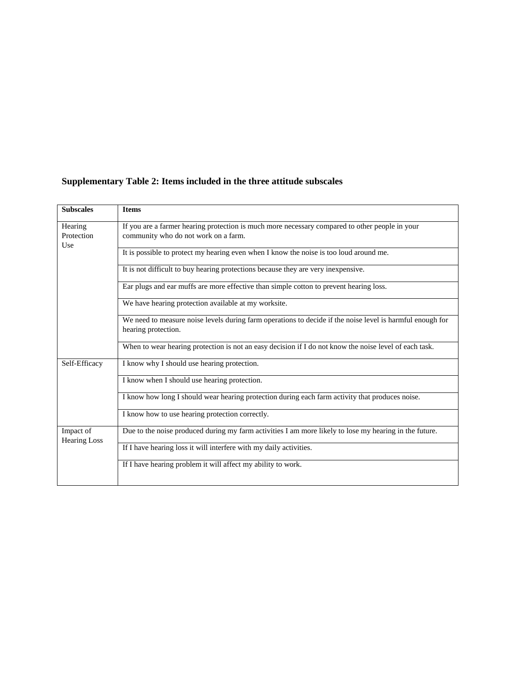## **Supplementary Table 2: Items included in the three attitude subscales**

| <b>Subscales</b>                 | <b>Items</b>                                                                                                                           |
|----------------------------------|----------------------------------------------------------------------------------------------------------------------------------------|
| Hearing<br>Protection<br>Use     | If you are a farmer hearing protection is much more necessary compared to other people in your<br>community who do not work on a farm. |
|                                  | It is possible to protect my hearing even when I know the noise is too loud around me.                                                 |
|                                  | It is not difficult to buy hearing protections because they are very inexpensive.                                                      |
|                                  | Ear plugs and ear muffs are more effective than simple cotton to prevent hearing loss.                                                 |
|                                  | We have hearing protection available at my worksite.                                                                                   |
|                                  | We need to measure noise levels during farm operations to decide if the noise level is harmful enough for<br>hearing protection.       |
|                                  | When to wear hearing protection is not an easy decision if I do not know the noise level of each task.                                 |
| Self-Efficacy                    | I know why I should use hearing protection.                                                                                            |
|                                  | I know when I should use hearing protection.                                                                                           |
|                                  | I know how long I should wear hearing protection during each farm activity that produces noise.                                        |
|                                  | I know how to use hearing protection correctly.                                                                                        |
| Impact of<br><b>Hearing Loss</b> | Due to the noise produced during my farm activities I am more likely to lose my hearing in the future.                                 |
|                                  | If I have hearing loss it will interfere with my daily activities.                                                                     |
|                                  | If I have hearing problem it will affect my ability to work.                                                                           |